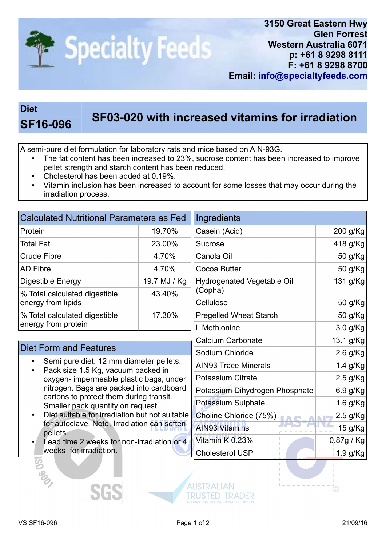

## Diet

## SF03-020 with increased vitamins for irradiation<br>SF16-096

A semi-pure diet formulation for laboratory rats and mice based on AIN-93G.

- The fat content has been increased to 23%, sucrose content has been increased to improve pellet strength and starch content has been reduced.
- Cholesterol has been added at 0.19%.
- Vitamin inclusion has been increased to account for some losses that may occur during the irradiation process.

| <b>Calculated Nutritional Parameters as Fed</b>                                                                                                                                                                                                                                                                                                                   |              | Ingredients                       |            |
|-------------------------------------------------------------------------------------------------------------------------------------------------------------------------------------------------------------------------------------------------------------------------------------------------------------------------------------------------------------------|--------------|-----------------------------------|------------|
| Protein                                                                                                                                                                                                                                                                                                                                                           | 19.70%       | Casein (Acid)                     | 200 g/Kg   |
| <b>Total Fat</b>                                                                                                                                                                                                                                                                                                                                                  | 23.00%       | Sucrose                           | 418 g/Kg   |
| <b>Crude Fibre</b>                                                                                                                                                                                                                                                                                                                                                | 4.70%        | Canola Oil                        | 50 g/Kg    |
| <b>AD Fibre</b>                                                                                                                                                                                                                                                                                                                                                   | 4.70%        | Cocoa Butter                      | 50 g/Kg    |
| Digestible Energy                                                                                                                                                                                                                                                                                                                                                 | 19.7 MJ / Kg | <b>Hydrogenated Vegetable Oil</b> | 131 g/Kg   |
| % Total calculated digestible<br>energy from lipids                                                                                                                                                                                                                                                                                                               | 43.40%       | (Copha)                           |            |
|                                                                                                                                                                                                                                                                                                                                                                   |              | Cellulose                         | 50 g/Kg    |
| % Total calculated digestible<br>energy from protein                                                                                                                                                                                                                                                                                                              | 17.30%       | <b>Pregelled Wheat Starch</b>     | 50 g/Kg    |
|                                                                                                                                                                                                                                                                                                                                                                   |              | L Methionine                      | 3.0 g/Kg   |
| <b>Diet Form and Features</b>                                                                                                                                                                                                                                                                                                                                     |              | <b>Calcium Carbonate</b>          | 13.1 g/Kg  |
|                                                                                                                                                                                                                                                                                                                                                                   |              | Sodium Chloride                   | $2.6$ g/Kg |
| Semi pure diet. 12 mm diameter pellets.<br>Pack size 1.5 Kg, vacuum packed in<br>oxygen- impermeable plastic bags, under<br>nitrogen. Bags are packed into cardboard<br>cartons to protect them during transit.<br>Smaller pack quantity on request.<br>Diet suitable for irradiation but not suitable<br>for autoclave. Note, Irradiation can soften<br>pellets. |              | <b>AIN93 Trace Minerals</b>       | 1.4 g/Kg   |
|                                                                                                                                                                                                                                                                                                                                                                   |              | <b>Potassium Citrate</b>          | $2.5$ g/Kg |
|                                                                                                                                                                                                                                                                                                                                                                   |              | Potassium Dihydrogen Phosphate    | 6.9 g/Kg   |
|                                                                                                                                                                                                                                                                                                                                                                   |              | <b>Potassium Sulphate</b>         | 1.6 g/Kg   |
|                                                                                                                                                                                                                                                                                                                                                                   |              | Choline Chloride (75%)            | $2.5$ g/Kg |
|                                                                                                                                                                                                                                                                                                                                                                   |              | <b>AIN93 Vitamins</b>             | 15 g/Kg    |
| Lead time 2 weeks for non-irradiation or 4                                                                                                                                                                                                                                                                                                                        |              | Vitamin K 0.23%                   | 0.87g / Kg |
| weeks for irradiation.                                                                                                                                                                                                                                                                                                                                            |              | <b>Cholesterol USP</b>            | 1.9 g/Kg   |